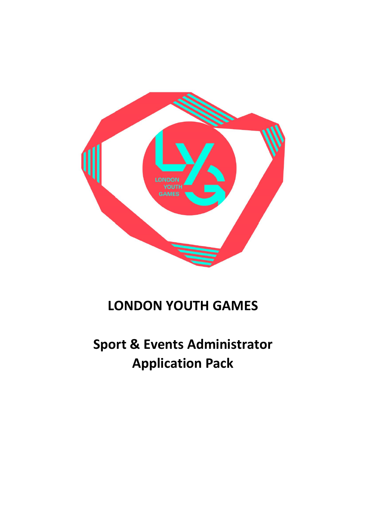

## **LONDON YOUTH GAMES**

# **Sport & Events Administrator Application Pack**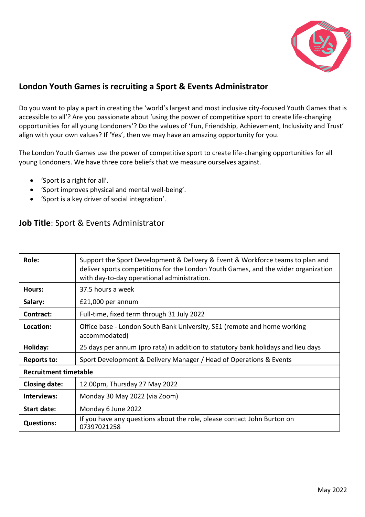

## **London Youth Games is recruiting a Sport & Events Administrator**

Do you want to play a part in creating the 'world's largest and most inclusive city-focused Youth Games that is accessible to all'? Are you passionate about 'using the power of competitive sport to create life-changing opportunities for all young Londoners'? Do the values of 'Fun, Friendship, Achievement, Inclusivity and Trust' align with your own values? If 'Yes', then we may have an amazing opportunity for you.

The London Youth Games use the power of competitive sport to create life-changing opportunities for all young Londoners. We have three core beliefs that we measure ourselves against.

- 'Sport is a right for all'.
- 'Sport improves physical and mental well-being'.
- 'Sport is a key driver of social integration'.

## **Job Title**: Sport & Events Administrator

| Role:                        | Support the Sport Development & Delivery & Event & Workforce teams to plan and<br>deliver sports competitions for the London Youth Games, and the wider organization<br>with day-to-day operational administration. |
|------------------------------|---------------------------------------------------------------------------------------------------------------------------------------------------------------------------------------------------------------------|
| Hours:                       | 37.5 hours a week                                                                                                                                                                                                   |
| Salary:                      | £21,000 per annum                                                                                                                                                                                                   |
| Contract:                    | Full-time, fixed term through 31 July 2022                                                                                                                                                                          |
| Location:                    | Office base - London South Bank University, SE1 (remote and home working<br>accommodated)                                                                                                                           |
| Holiday:                     | 25 days per annum (pro rata) in addition to statutory bank holidays and lieu days                                                                                                                                   |
| <b>Reports to:</b>           | Sport Development & Delivery Manager / Head of Operations & Events                                                                                                                                                  |
| <b>Recruitment timetable</b> |                                                                                                                                                                                                                     |
| <b>Closing date:</b>         | 12.00pm, Thursday 27 May 2022                                                                                                                                                                                       |
| Interviews:                  | Monday 30 May 2022 (via Zoom)                                                                                                                                                                                       |
| <b>Start date:</b>           | Monday 6 June 2022                                                                                                                                                                                                  |
| <b>Questions:</b>            | If you have any questions about the role, please contact John Burton on<br>07397021258                                                                                                                              |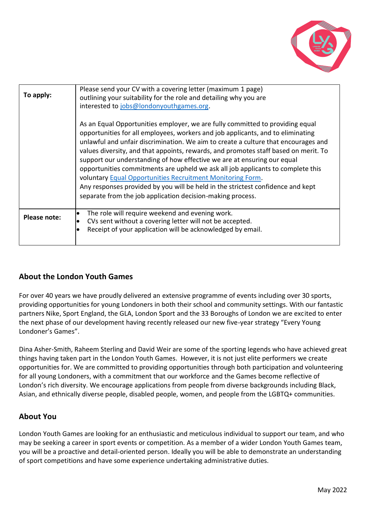

| To apply:    | Please send your CV with a covering letter (maximum 1 page)<br>outlining your suitability for the role and detailing why you are<br>interested to jobs@londonyouthgames.org.                                                                                                                                                                                                                                                                                                                                                                                                                                                                                                                                               |
|--------------|----------------------------------------------------------------------------------------------------------------------------------------------------------------------------------------------------------------------------------------------------------------------------------------------------------------------------------------------------------------------------------------------------------------------------------------------------------------------------------------------------------------------------------------------------------------------------------------------------------------------------------------------------------------------------------------------------------------------------|
|              | As an Equal Opportunities employer, we are fully committed to providing equal<br>opportunities for all employees, workers and job applicants, and to eliminating<br>unlawful and unfair discrimination. We aim to create a culture that encourages and<br>values diversity, and that appoints, rewards, and promotes staff based on merit. To<br>support our understanding of how effective we are at ensuring our equal<br>opportunities commitments are upheld we ask all job applicants to complete this<br>voluntary Equal Opportunities Recruitment Monitoring Form.<br>Any responses provided by you will be held in the strictest confidence and kept<br>separate from the job application decision-making process. |
| Please note: | The role will require weekend and evening work.<br>CVs sent without a covering letter will not be accepted.<br>Receipt of your application will be acknowledged by email.                                                                                                                                                                                                                                                                                                                                                                                                                                                                                                                                                  |

## **About the London Youth Games**

For over 40 years we have proudly delivered an extensive programme of events including over 30 sports, providing opportunities for young Londoners in both their school and community settings. With our fantastic partners Nike, Sport England, the GLA, London Sport and the 33 Boroughs of London we are excited to enter the next phase of our development having recently released our new five-year strategy "Every Young Londoner's Games".

Dina Asher-Smith, Raheem Sterling and David Weir are some of the sporting legends who have achieved great things having taken part in the London Youth Games. However, it is not just elite performers we create opportunities for. We are committed to providing opportunities through both participation and volunteering for all young Londoners, with a commitment that our workforce and the Games become reflective of London's rich diversity. We encourage applications from people from diverse backgrounds including Black, Asian, and ethnically diverse people, disabled people, women, and people from the LGBTQ+ communities.

## **About You**

London Youth Games are looking for an enthusiastic and meticulous individual to support our team, and who may be seeking a career in sport events or competition. As a member of a wider London Youth Games team, you will be a proactive and detail-oriented person. Ideally you will be able to demonstrate an understanding of sport competitions and have some experience undertaking administrative duties.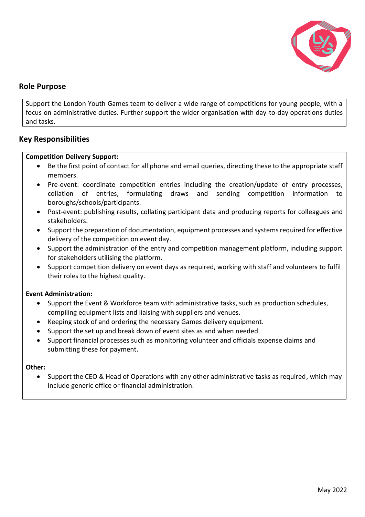

### **Role Purpose**

Support the London Youth Games team to deliver a wide range of competitions for young people, with a focus on administrative duties. Further support the wider organisation with day-to-day operations duties and tasks.

#### **Key Responsibilities**

#### **Competition Delivery Support:**

- Be the first point of contact for all phone and email queries, directing these to the appropriate staff members.
- Pre-event: coordinate competition entries including the creation/update of entry processes, collation of entries, formulating draws and sending competition information to boroughs/schools/participants.
- Post-event: publishing results, collating participant data and producing reports for colleagues and stakeholders.
- Support the preparation of documentation, equipment processes and systems required for effective delivery of the competition on event day.
- Support the administration of the entry and competition management platform, including support for stakeholders utilising the platform.
- Support competition delivery on event days as required, working with staff and volunteers to fulfil their roles to the highest quality.

#### **Event Administration:**

- Support the Event & Workforce team with administrative tasks, such as production schedules, compiling equipment lists and liaising with suppliers and venues.
- Keeping stock of and ordering the necessary Games delivery equipment.
- Support the set up and break down of event sites as and when needed.
- Support financial processes such as monitoring volunteer and officials expense claims and submitting these for payment.

#### **Other:**

• Support the CEO & Head of Operations with any other administrative tasks as required, which may include generic office or financial administration.